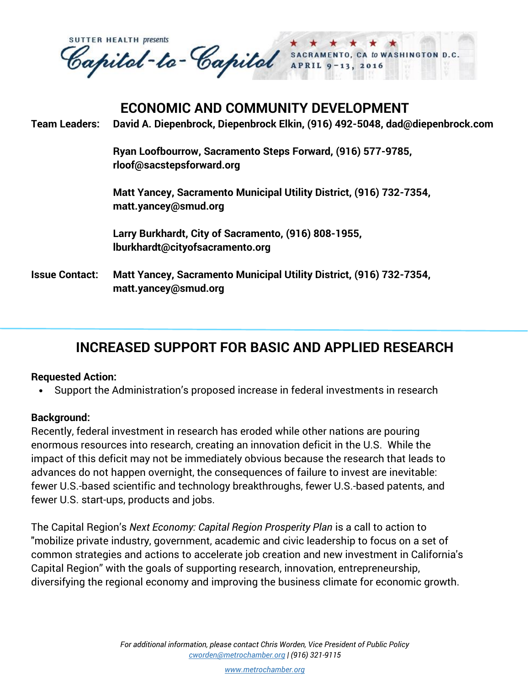**SUTTER HEALTH presents** Capital-to-Capital SACRAMENTO CA to WASHINGTON D.C. 13, 2016

## **ECONOMIC AND COMMUNITY DEVELOPMENT**

**Team Leaders: David A. Diepenbrock, Diepenbrock Elkin, (916) 492-5048, dad@diepenbrock.com** 

**Ryan Loofbourrow, Sacramento Steps Forward, (916) 577-9785, [rloof@sacstepsforward.org](mailto:rloof@sacstepsforward.org)**

**Matt Yancey, Sacramento Municipal Utility District, (916) 732-7354, matt.yancey@smud.org**

**Larry Burkhardt, City of Sacramento, (916) 808-1955, lburkhardt@cityofsacramento.org**

**Issue Contact: Matt Yancey, Sacramento Municipal Utility District, (916) 732-7354, matt.yancey@smud.org**

## **INCREASED SUPPORT FOR BASIC AND APPLIED RESEARCH**

## **Requested Action:**

Support the Administration's proposed increase in federal investments in research

## **Background:**

Recently, federal investment in research has eroded while other nations are pouring enormous resources into research, creating an innovation deficit in the U.S. While the impact of this deficit may not be immediately obvious because the research that leads to advances do not happen overnight, the consequences of failure to invest are inevitable: fewer U.S.-based scientific and technology breakthroughs, fewer U.S.-based patents, and fewer U.S. start-ups, products and jobs.

The Capital Region's *Next Economy: Capital Region Prosperity Plan* is a call to action to "mobilize private industry, government, academic and civic leadership to focus on a set of common strategies and actions to accelerate job creation and new investment in California's Capital Region" with the goals of supporting research, innovation, entrepreneurship, diversifying the regional economy and improving the business climate for economic growth.